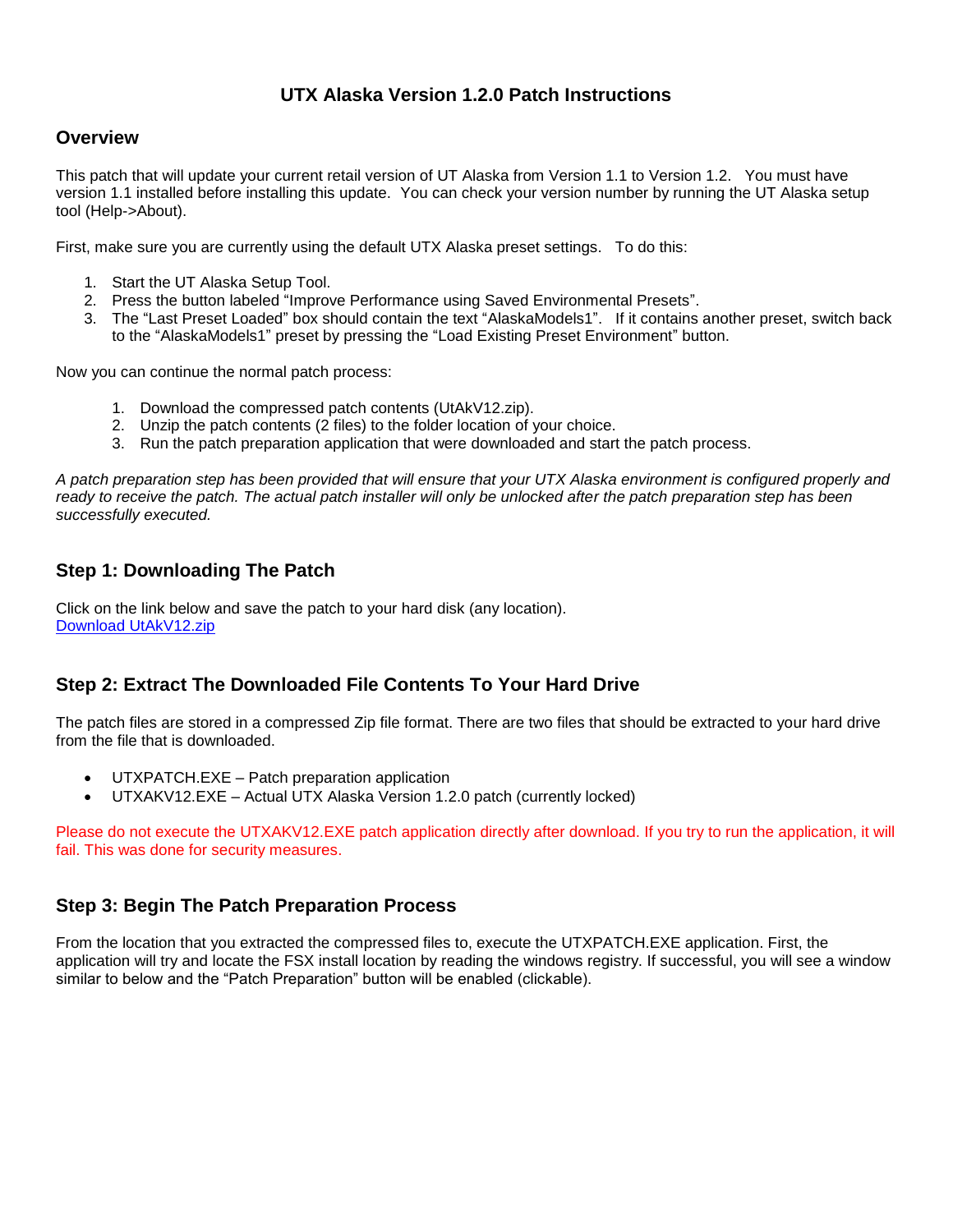## **UTX Alaska Version 1.2.0 Patch Instructions**

#### **Overview**

This patch that will update your current retail version of UT Alaska from Version 1.1 to Version 1.2. You must have version 1.1 installed before installing this update. You can check your version number by running the UT Alaska setup tool (Help->About).

First, make sure you are currently using the default UTX Alaska preset settings. To do this:

- 1. Start the UT Alaska Setup Tool.
- 2. Press the button labeled "Improve Performance using Saved Environmental Presets".
- 3. The "Last Preset Loaded" box should contain the text "AlaskaModels1". If it contains another preset, switch back to the "AlaskaModels1" preset by pressing the "Load Existing Preset Environment" button.

Now you can continue the normal patch process:

- 1. Download the compressed patch contents (UtAkV12.zip).
- 2. Unzip the patch contents (2 files) to the folder location of your choice.
- 3. Run the patch preparation application that were downloaded and start the patch process.

*A patch preparation step has been provided that will ensure that your UTX Alaska environment is configured properly and*  ready to receive the patch. The actual patch installer will only be unlocked after the patch preparation step has been *successfully executed.* 

## **Step 1: Downloading The Patch**

Click on the link below and save the patch to your hard disk (any location). Download [UtAkV12.zip](http://files.100megabyte.com/ultterrain/Patch/UtAkV12.zip)

## **Step 2: Extract The Downloaded File Contents To Your Hard Drive**

The patch files are stored in a compressed Zip file format. There are two files that should be extracted to your hard drive from the file that is downloaded.

- UTXPATCH.EXE Patch preparation application
- UTXAKV12.EXE Actual UTX Alaska Version 1.2.0 patch (currently locked)

Please do not execute the UTXAKV12.EXE patch application directly after download. If you try to run the application, it will fail. This was done for security measures.

#### **Step 3: Begin The Patch Preparation Process**

From the location that you extracted the compressed files to, execute the UTXPATCH.EXE application. First, the application will try and locate the FSX install location by reading the windows registry. If successful, you will see a window similar to below and the "Patch Preparation" button will be enabled (clickable).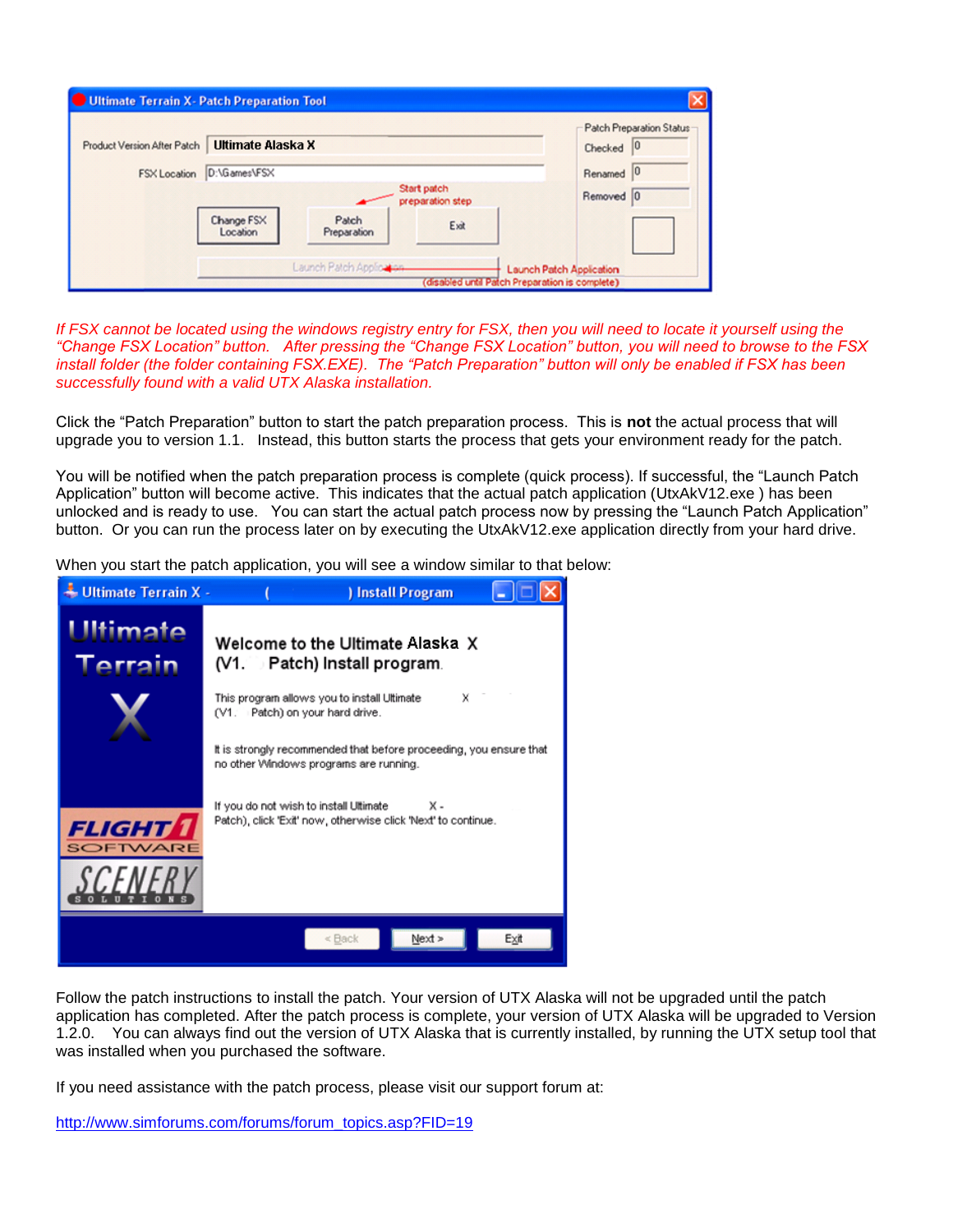|                             |                        |                                 |         | Patch Preparation Status |
|-----------------------------|------------------------|---------------------------------|---------|--------------------------|
| Product Version After Patch | Ultimate Alaska X      |                                 |         | 0<br>Checked             |
| FSX Location                | D:\Games\FSX           |                                 | Renamed |                          |
|                             |                        | Start patch<br>preparation step |         | Removed 0                |
|                             | Change FSX<br>Location | Patch<br>Preparation            | Exit    |                          |

If FSX cannot be located using the windows registry entry for FSX, then you will need to locate it yourself using the *"Change FSX Location" button. After pressing the "Change FSX Location" button, you will need to browse to the FSX install folder (the folder containing FSX.EXE). The "Patch Preparation" button will only be enabled if FSX has been successfully found with a valid UTX Alaska installation.* 

Click the "Patch Preparation" button to start the patch preparation process. This is **not** the actual process that will upgrade you to version 1.1. Instead, this button starts the process that gets your environment ready for the patch.

You will be notified when the patch preparation process is complete (quick process). If successful, the "Launch Patch Application" button will become active. This indicates that the actual patch application (UtxAkV12.exe ) has been unlocked and is ready to use. You can start the actual patch process now by pressing the "Launch Patch Application" button. Or you can run the process later on by executing the UtxAkV12.exe application directly from your hard drive.

When you start the patch application, you will see a window similar to that below:



Follow the patch instructions to install the patch. Your version of UTX Alaska will not be upgraded until the patch application has completed. After the patch process is complete, your version of UTX Alaska will be upgraded to Version 1.2.0. You can always find out the version of UTX Alaska that is currently installed, by running the UTX setup tool that was installed when you purchased the software.

If you need assistance with the patch process, please visit our support forum at:

http://www.simforums.com/forums/forum\_topics.asp?FID=19